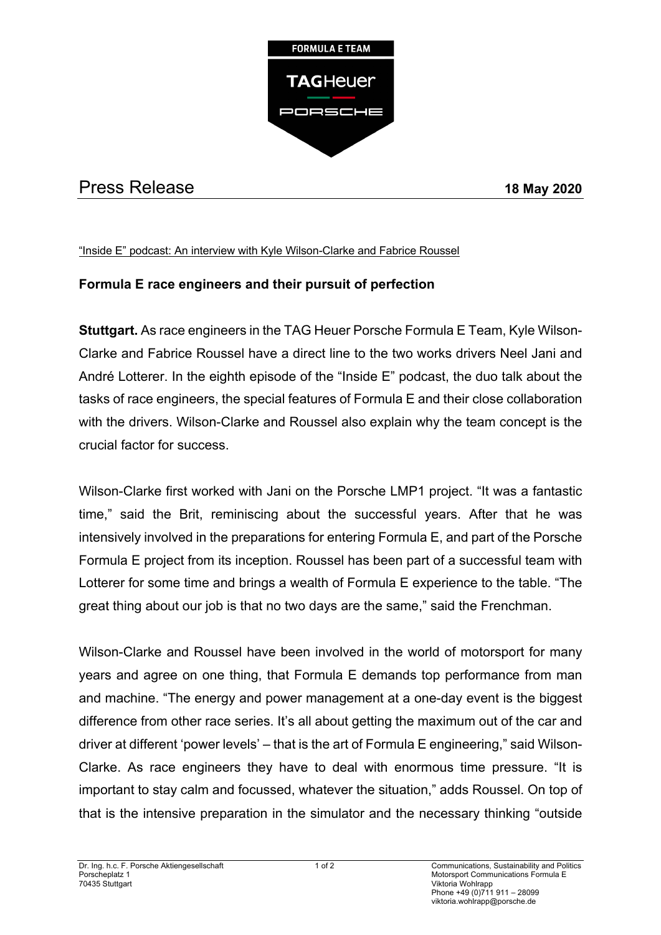

## Press Release **18 May 2020**

## "Inside E" podcast: An interview with Kyle Wilson-Clarke and Fabrice Roussel

## **Formula E race engineers and their pursuit of perfection**

**Stuttgart.** As race engineers in the TAG Heuer Porsche Formula E Team, Kyle Wilson-Clarke and Fabrice Roussel have a direct line to the two works drivers Neel Jani and André Lotterer. In the eighth episode of the "Inside E" podcast, the duo talk about the tasks of race engineers, the special features of Formula E and their close collaboration with the drivers. Wilson-Clarke and Roussel also explain why the team concept is the crucial factor for success.

Wilson-Clarke first worked with Jani on the Porsche LMP1 project. "It was a fantastic time," said the Brit, reminiscing about the successful years. After that he was intensively involved in the preparations for entering Formula E, and part of the Porsche Formula E project from its inception. Roussel has been part of a successful team with Lotterer for some time and brings a wealth of Formula E experience to the table. "The great thing about our job is that no two days are the same," said the Frenchman.

Wilson-Clarke and Roussel have been involved in the world of motorsport for many years and agree on one thing, that Formula E demands top performance from man and machine. "The energy and power management at a one-day event is the biggest difference from other race series. It's all about getting the maximum out of the car and driver at different 'power levels' – that is the art of Formula E engineering," said Wilson-Clarke. As race engineers they have to deal with enormous time pressure. "It is important to stay calm and focussed, whatever the situation," adds Roussel. On top of that is the intensive preparation in the simulator and the necessary thinking "outside